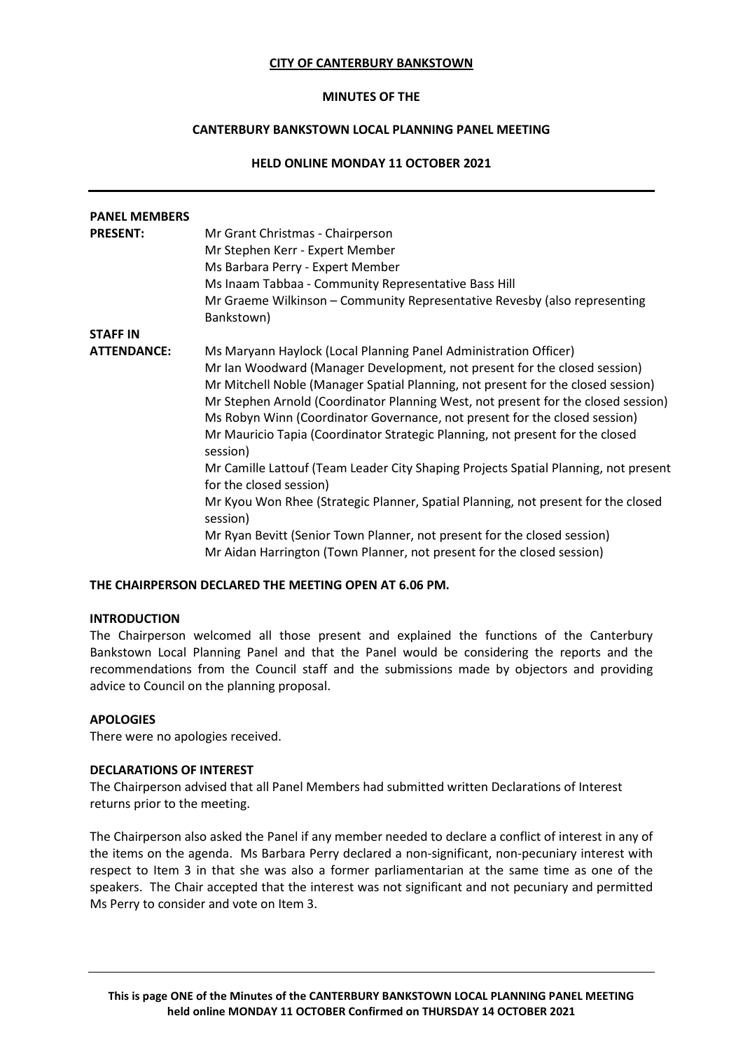### **CITY OF CANTERBURY BANKSTOWN**

#### **MINUTES OF THE**

# **CANTERBURY BANKSTOWN LOCAL PLANNING PANEL MEETING**

# **HELD ONLINE MONDAY 11 OCTOBER 2021**

| <b>PANEL MEMBERS</b> |                                                                                               |
|----------------------|-----------------------------------------------------------------------------------------------|
| <b>PRESENT:</b>      | Mr Grant Christmas - Chairperson                                                              |
|                      | Mr Stephen Kerr - Expert Member                                                               |
|                      | Ms Barbara Perry - Expert Member                                                              |
|                      | Ms Inaam Tabbaa - Community Representative Bass Hill                                          |
|                      | Mr Graeme Wilkinson - Community Representative Revesby (also representing<br>Bankstown)       |
| <b>STAFF IN</b>      |                                                                                               |
| <b>ATTENDANCE:</b>   | Ms Maryann Haylock (Local Planning Panel Administration Officer)                              |
|                      | Mr Ian Woodward (Manager Development, not present for the closed session)                     |
|                      | Mr Mitchell Noble (Manager Spatial Planning, not present for the closed session)              |
|                      | Mr Stephen Arnold (Coordinator Planning West, not present for the closed session)             |
|                      | Ms Robyn Winn (Coordinator Governance, not present for the closed session)                    |
|                      | Mr Mauricio Tapia (Coordinator Strategic Planning, not present for the closed<br>session)     |
|                      | Mr Camille Lattouf (Team Leader City Shaping Projects Spatial Planning, not present           |
|                      | for the closed session)                                                                       |
|                      | Mr Kyou Won Rhee (Strategic Planner, Spatial Planning, not present for the closed<br>session) |
|                      | Mr Ryan Bevitt (Senior Town Planner, not present for the closed session)                      |
|                      | Mr Aidan Harrington (Town Planner, not present for the closed session)                        |

#### **THE CHAIRPERSON DECLARED THE MEETING OPEN AT 6.06 PM.**

### **INTRODUCTION**

The Chairperson welcomed all those present and explained the functions of the Canterbury Bankstown Local Planning Panel and that the Panel would be considering the reports and the recommendations from the Council staff and the submissions made by objectors and providing advice to Council on the planning proposal.

#### **APOLOGIES**

There were no apologies received.

## **DECLARATIONS OF INTEREST**

The Chairperson advised that all Panel Members had submitted written Declarations of Interest returns prior to the meeting.

The Chairperson also asked the Panel if any member needed to declare a conflict of interest in any of the items on the agenda. Ms Barbara Perry declared a non-significant, non-pecuniary interest with respect to Item 3 in that she was also a former parliamentarian at the same time as one of the speakers. The Chair accepted that the interest was not significant and not pecuniary and permitted Ms Perry to consider and vote on Item 3.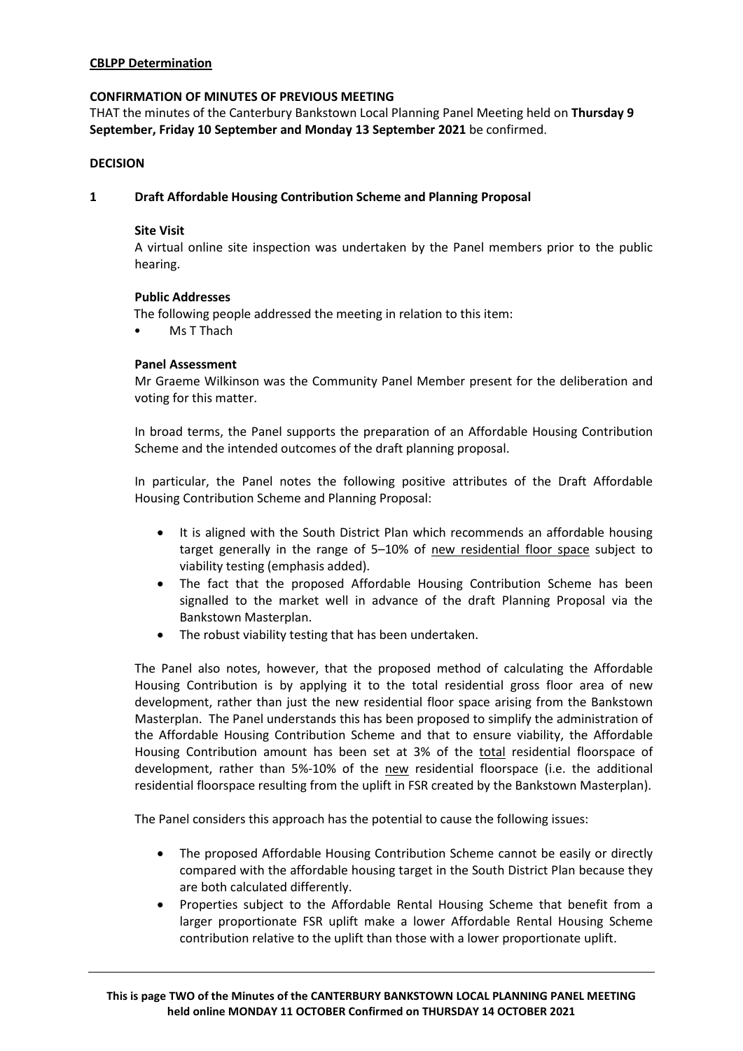# **CBLPP Determination**

### **CONFIRMATION OF MINUTES OF PREVIOUS MEETING**

THAT the minutes of the Canterbury Bankstown Local Planning Panel Meeting held on **Thursday 9 September, Friday 10 September and Monday 13 September 2021** be confirmed.

### **DECISION**

## **1 Draft Affordable Housing Contribution Scheme and Planning Proposal**

### **Site Visit**

A virtual online site inspection was undertaken by the Panel members prior to the public hearing.

### **Public Addresses**

The following people addressed the meeting in relation to this item:

Ms T Thach

### **Panel Assessment**

Mr Graeme Wilkinson was the Community Panel Member present for the deliberation and voting for this matter.

In broad terms, the Panel supports the preparation of an Affordable Housing Contribution Scheme and the intended outcomes of the draft planning proposal.

In particular, the Panel notes the following positive attributes of the Draft Affordable Housing Contribution Scheme and Planning Proposal:

- It is aligned with the South District Plan which recommends an affordable housing target generally in the range of 5–10% of new residential floor space subject to viability testing (emphasis added).
- The fact that the proposed Affordable Housing Contribution Scheme has been signalled to the market well in advance of the draft Planning Proposal via the Bankstown Masterplan.
- The robust viability testing that has been undertaken.

The Panel also notes, however, that the proposed method of calculating the Affordable Housing Contribution is by applying it to the total residential gross floor area of new development, rather than just the new residential floor space arising from the Bankstown Masterplan. The Panel understands this has been proposed to simplify the administration of the Affordable Housing Contribution Scheme and that to ensure viability, the Affordable Housing Contribution amount has been set at 3% of the total residential floorspace of development, rather than 5%-10% of the new residential floorspace (i.e. the additional residential floorspace resulting from the uplift in FSR created by the Bankstown Masterplan).

The Panel considers this approach has the potential to cause the following issues:

- The proposed Affordable Housing Contribution Scheme cannot be easily or directly compared with the affordable housing target in the South District Plan because they are both calculated differently.
- Properties subject to the Affordable Rental Housing Scheme that benefit from a larger proportionate FSR uplift make a lower Affordable Rental Housing Scheme contribution relative to the uplift than those with a lower proportionate uplift.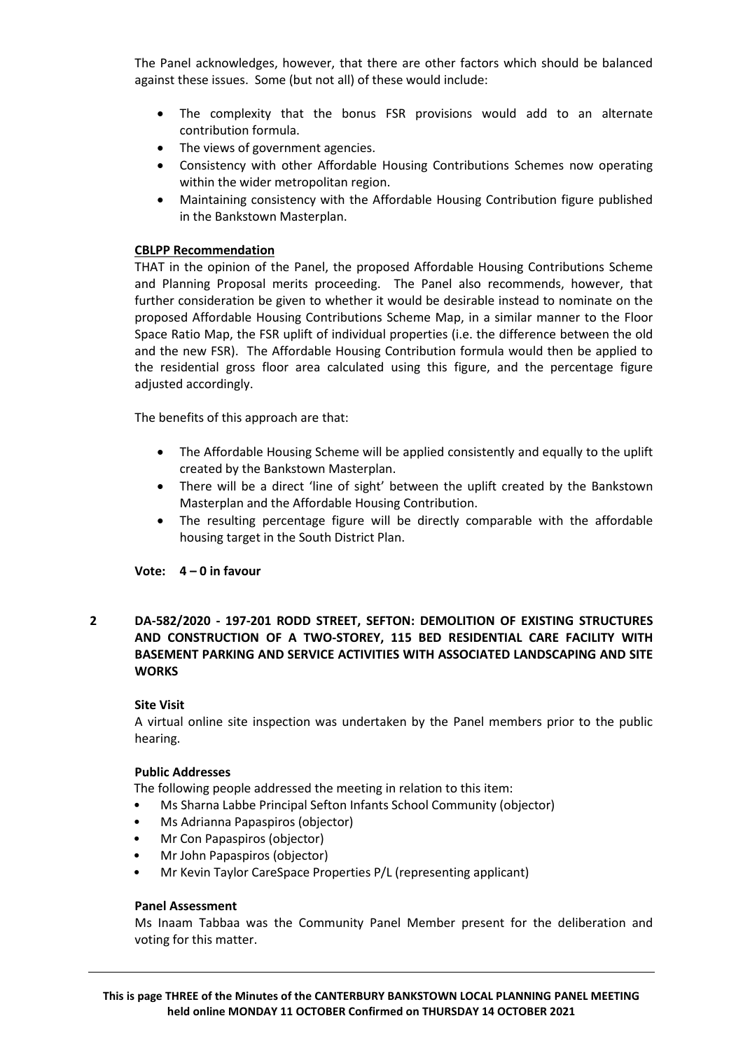The Panel acknowledges, however, that there are other factors which should be balanced against these issues. Some (but not all) of these would include:

- The complexity that the bonus FSR provisions would add to an alternate contribution formula.
- The views of government agencies.
- Consistency with other Affordable Housing Contributions Schemes now operating within the wider metropolitan region.
- Maintaining consistency with the Affordable Housing Contribution figure published in the Bankstown Masterplan.

# **CBLPP Recommendation**

THAT in the opinion of the Panel, the proposed Affordable Housing Contributions Scheme and Planning Proposal merits proceeding. The Panel also recommends, however, that further consideration be given to whether it would be desirable instead to nominate on the proposed Affordable Housing Contributions Scheme Map, in a similar manner to the Floor Space Ratio Map, the FSR uplift of individual properties (i.e. the difference between the old and the new FSR). The Affordable Housing Contribution formula would then be applied to the residential gross floor area calculated using this figure, and the percentage figure adjusted accordingly.

The benefits of this approach are that:

- The Affordable Housing Scheme will be applied consistently and equally to the uplift created by the Bankstown Masterplan.
- There will be a direct 'line of sight' between the uplift created by the Bankstown Masterplan and the Affordable Housing Contribution.
- The resulting percentage figure will be directly comparable with the affordable housing target in the South District Plan.

**Vote: 4 – 0 in favour**

**2 DA-582/2020 - 197-201 RODD STREET, SEFTON: DEMOLITION OF EXISTING STRUCTURES AND CONSTRUCTION OF A TWO-STOREY, 115 BED RESIDENTIAL CARE FACILITY WITH BASEMENT PARKING AND SERVICE ACTIVITIES WITH ASSOCIATED LANDSCAPING AND SITE WORKS**

# **Site Visit**

A virtual online site inspection was undertaken by the Panel members prior to the public hearing.

# **Public Addresses**

The following people addressed the meeting in relation to this item:

- Ms Sharna Labbe Principal Sefton Infants School Community (objector)
- Ms Adrianna Papaspiros (objector)
- Mr Con Papaspiros (objector)
- Mr John Papaspiros (objector)
- Mr Kevin Taylor CareSpace Properties P/L (representing applicant)

#### **Panel Assessment**

Ms Inaam Tabbaa was the Community Panel Member present for the deliberation and voting for this matter.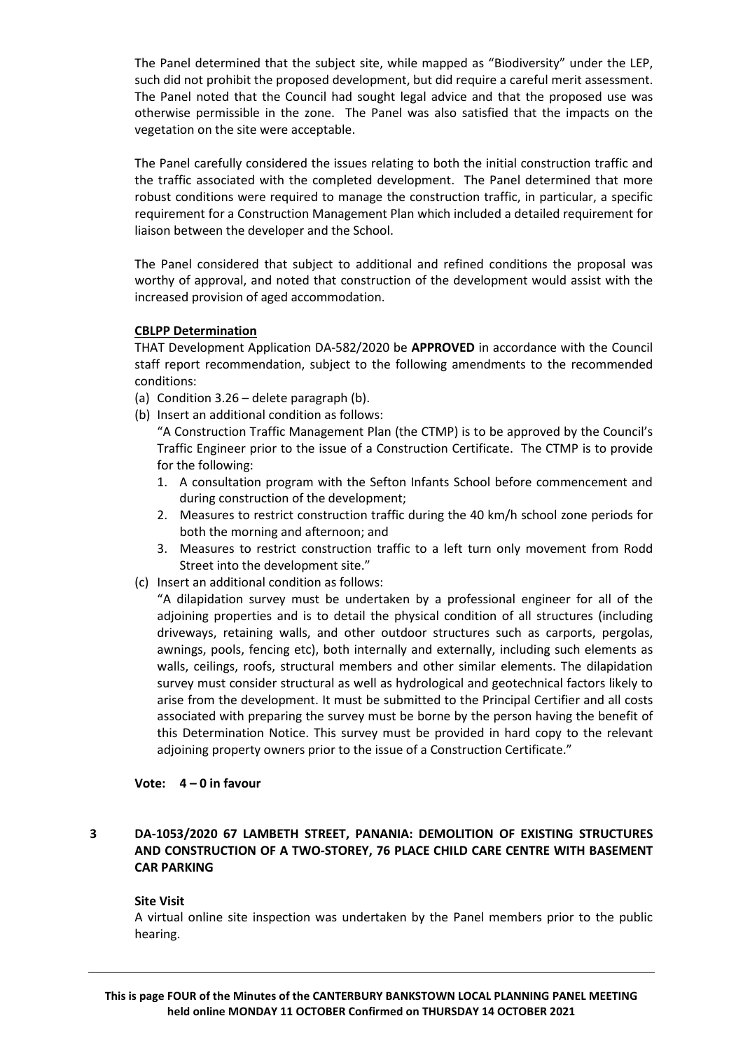The Panel determined that the subject site, while mapped as "Biodiversity" under the LEP, such did not prohibit the proposed development, but did require a careful merit assessment. The Panel noted that the Council had sought legal advice and that the proposed use was otherwise permissible in the zone. The Panel was also satisfied that the impacts on the vegetation on the site were acceptable.

The Panel carefully considered the issues relating to both the initial construction traffic and the traffic associated with the completed development. The Panel determined that more robust conditions were required to manage the construction traffic, in particular, a specific requirement for a Construction Management Plan which included a detailed requirement for liaison between the developer and the School.

The Panel considered that subject to additional and refined conditions the proposal was worthy of approval, and noted that construction of the development would assist with the increased provision of aged accommodation.

# **CBLPP Determination**

THAT Development Application DA-582/2020 be **APPROVED** in accordance with the Council staff report recommendation, subject to the following amendments to the recommended conditions:

- (a) Condition 3.26 delete paragraph (b).
- (b) Insert an additional condition as follows:

"A Construction Traffic Management Plan (the CTMP) is to be approved by the Council's Traffic Engineer prior to the issue of a Construction Certificate. The CTMP is to provide for the following:

- 1. A consultation program with the Sefton Infants School before commencement and during construction of the development;
- 2. Measures to restrict construction traffic during the 40 km/h school zone periods for both the morning and afternoon; and
- 3. Measures to restrict construction traffic to a left turn only movement from Rodd Street into the development site."
- (c) Insert an additional condition as follows:

"A dilapidation survey must be undertaken by a professional engineer for all of the adjoining properties and is to detail the physical condition of all structures (including driveways, retaining walls, and other outdoor structures such as carports, pergolas, awnings, pools, fencing etc), both internally and externally, including such elements as walls, ceilings, roofs, structural members and other similar elements. The dilapidation survey must consider structural as well as hydrological and geotechnical factors likely to arise from the development. It must be submitted to the Principal Certifier and all costs associated with preparing the survey must be borne by the person having the benefit of this Determination Notice. This survey must be provided in hard copy to the relevant adjoining property owners prior to the issue of a Construction Certificate."

#### **Vote: 4 – 0 in favour**

# **3 DA-1053/2020 67 LAMBETH STREET, PANANIA: DEMOLITION OF EXISTING STRUCTURES AND CONSTRUCTION OF A TWO-STOREY, 76 PLACE CHILD CARE CENTRE WITH BASEMENT CAR PARKING**

#### **Site Visit**

A virtual online site inspection was undertaken by the Panel members prior to the public hearing.